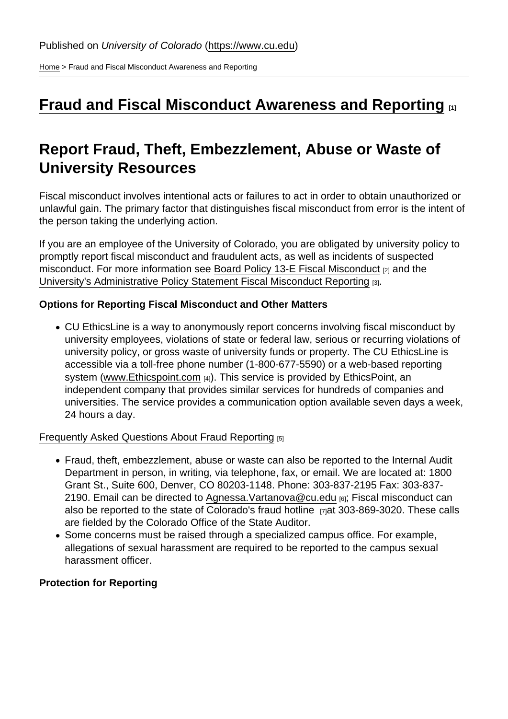[Home](https://www.cu.edu/) > Fraud and Fiscal Misconduct Awareness and Reporting

## [Fraud and Fiscal Misconduct Awareness and Reporting](https://www.cu.edu/internalaudit /fraud-and-fiscal-misconduct-awareness-and-reporting)  $\qquad$

## Report Fraud, Theft, Embezzlement, Abuse or Waste of University Resources

Fiscal misconduct involves intentional acts or failures to act in order to obtain unauthorized or unlawful gain. The primary factor that distinguishes fiscal misconduct from error is the intent of the person taking the underlying action.

If you are an employee of the University of Colorado, you are obligated by university policy to promptly report fiscal misconduct and fraudulent acts, as well as incidents of suspected misconduct. For more information see [Board Policy 13-E Fiscal Misconduct](https://www.cu.edu/regents/policy/13) [2] and the [University's Administrative Policy Statement Fiscal Misconduct Reporting](https://www.cu.edu/sites/default/files/4012.pdf) [3].

Options for Reporting Fiscal Misconduct and Other Matters

CU EthicsLine is a way to anonymously report concerns involving fiscal misconduct by university employees, violations of state or federal law, serious or recurring violations of university policy, or gross waste of university funds or property. The CU EthicsLine is accessible via a toll-free phone number (1-800-677-5590) or a web-based reporting system [\(www.Ethicspoint.com](https://secure.ethicspoint.com/domain/media/en/gui/14973/index.html) [4]). This service is provided by EthicsPoint, an independent company that provides similar services for hundreds of companies and universities. The service provides a communication option available seven days a week, 24 hours a day.

[Frequently Asked Questions About Fraud Reporting](https://www.cu.edu/internalaudit /frequently-asked-questions) [5]

- Fraud, theft, embezzlement, abuse or waste can also be reported to the Internal Audit Department in person, in writing, via telephone, fax, or email. We are located at: 1800 Grant St., Suite 600, Denver, CO 80203-1148. Phone: 303-837-2195 Fax: 303-837- 2190. Email can be directed to [Agnessa.Vartanova@cu.edu](mailto:Agnessa.Vartanova@cu.edu) [6]; Fiscal misconduct can also be reported to the [state of Colorado's fraud hotline](http://leg.colorado.gov/agencies/office-state-auditor/report-fraud-concern)  $\overline{17}$ at 303-869-3020. These calls are fielded by the Colorado Office of the State Auditor.
- Some concerns must be raised through a specialized campus office. For example, allegations of sexual harassment are required to be reported to the campus sexual harassment officer.

Protection for Reporting